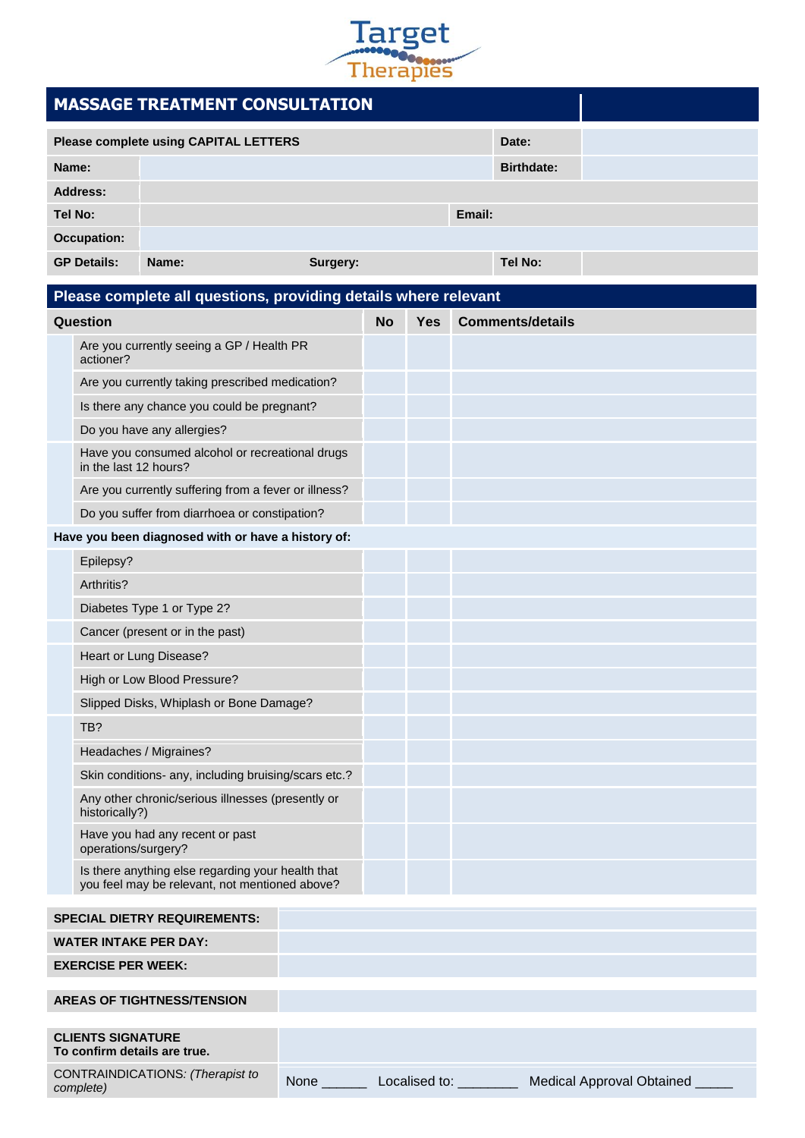

| $\cdots$                                           |                                                                          |                                                                                                     |          |           |            |        |                         |  |
|----------------------------------------------------|--------------------------------------------------------------------------|-----------------------------------------------------------------------------------------------------|----------|-----------|------------|--------|-------------------------|--|
|                                                    | <b>MASSAGE TREATMENT CONSULTATION</b>                                    |                                                                                                     |          |           |            |        |                         |  |
| <b>Please complete using CAPITAL LETTERS</b>       |                                                                          |                                                                                                     |          |           |            |        | Date:                   |  |
| Name:                                              |                                                                          |                                                                                                     |          |           |            |        | <b>Birthdate:</b>       |  |
| Address:                                           |                                                                          |                                                                                                     |          |           |            |        |                         |  |
|                                                    | <b>Tel No:</b>                                                           |                                                                                                     |          |           |            | Email: |                         |  |
| <b>Occupation:</b>                                 |                                                                          |                                                                                                     |          |           |            |        |                         |  |
| <b>GP Details:</b>                                 |                                                                          | Name:                                                                                               | Surgery: |           |            |        | Tel No:                 |  |
|                                                    |                                                                          | Please complete all questions, providing details where relevant                                     |          |           |            |        |                         |  |
|                                                    | Question                                                                 |                                                                                                     |          | <b>No</b> | <b>Yes</b> |        | <b>Comments/details</b> |  |
|                                                    | Are you currently seeing a GP / Health PR<br>actioner?                   |                                                                                                     |          |           |            |        |                         |  |
|                                                    | Are you currently taking prescribed medication?                          |                                                                                                     |          |           |            |        |                         |  |
|                                                    | Is there any chance you could be pregnant?                               |                                                                                                     |          |           |            |        |                         |  |
|                                                    | Do you have any allergies?                                               |                                                                                                     |          |           |            |        |                         |  |
|                                                    | Have you consumed alcohol or recreational drugs<br>in the last 12 hours? |                                                                                                     |          |           |            |        |                         |  |
|                                                    | Are you currently suffering from a fever or illness?                     |                                                                                                     |          |           |            |        |                         |  |
|                                                    | Do you suffer from diarrhoea or constipation?                            |                                                                                                     |          |           |            |        |                         |  |
| Have you been diagnosed with or have a history of: |                                                                          |                                                                                                     |          |           |            |        |                         |  |
|                                                    | Epilepsy?                                                                |                                                                                                     |          |           |            |        |                         |  |
|                                                    | Arthritis?                                                               |                                                                                                     |          |           |            |        |                         |  |
|                                                    |                                                                          | Diabetes Type 1 or Type 2?                                                                          |          |           |            |        |                         |  |
|                                                    | Cancer (present or in the past)                                          |                                                                                                     |          |           |            |        |                         |  |
|                                                    |                                                                          | Heart or Lung Disease?                                                                              |          |           |            |        |                         |  |
|                                                    | High or Low Blood Pressure?                                              |                                                                                                     |          |           |            |        |                         |  |
|                                                    |                                                                          | Slipped Disks, Whiplash or Bone Damage?                                                             |          |           |            |        |                         |  |
|                                                    | TB?                                                                      |                                                                                                     |          |           |            |        |                         |  |
|                                                    |                                                                          | Headaches / Migraines?                                                                              |          |           |            |        |                         |  |
|                                                    | Skin conditions- any, including bruising/scars etc.?                     |                                                                                                     |          |           |            |        |                         |  |
|                                                    | historically?)                                                           | Any other chronic/serious illnesses (presently or                                                   |          |           |            |        |                         |  |
|                                                    | operations/surgery?                                                      | Have you had any recent or past                                                                     |          |           |            |        |                         |  |
|                                                    |                                                                          | Is there anything else regarding your health that<br>you feel may be relevant, not mentioned above? |          |           |            |        |                         |  |
| <b>SPECIAL DIETRY REQUIREMENTS:</b>                |                                                                          |                                                                                                     |          |           |            |        |                         |  |
|                                                    |                                                                          | <b>WATER INTAKE PER DAY:</b>                                                                        |          |           |            |        |                         |  |
|                                                    | <b>EXERCISE PER WEEK:</b>                                                |                                                                                                     |          |           |            |        |                         |  |

| <b>AREAS OF TIGHTNESS/TENSION</b> |  |  |  |
|-----------------------------------|--|--|--|
|                                   |  |  |  |

## **CLIENTS SIGNATURE To confirm details are true.** CONTRAINDICATIONS*: (Therapist to complete)* None \_\_\_\_\_\_ Localised to: \_\_\_\_\_\_\_\_ Medical Approval Obtained \_\_\_\_\_